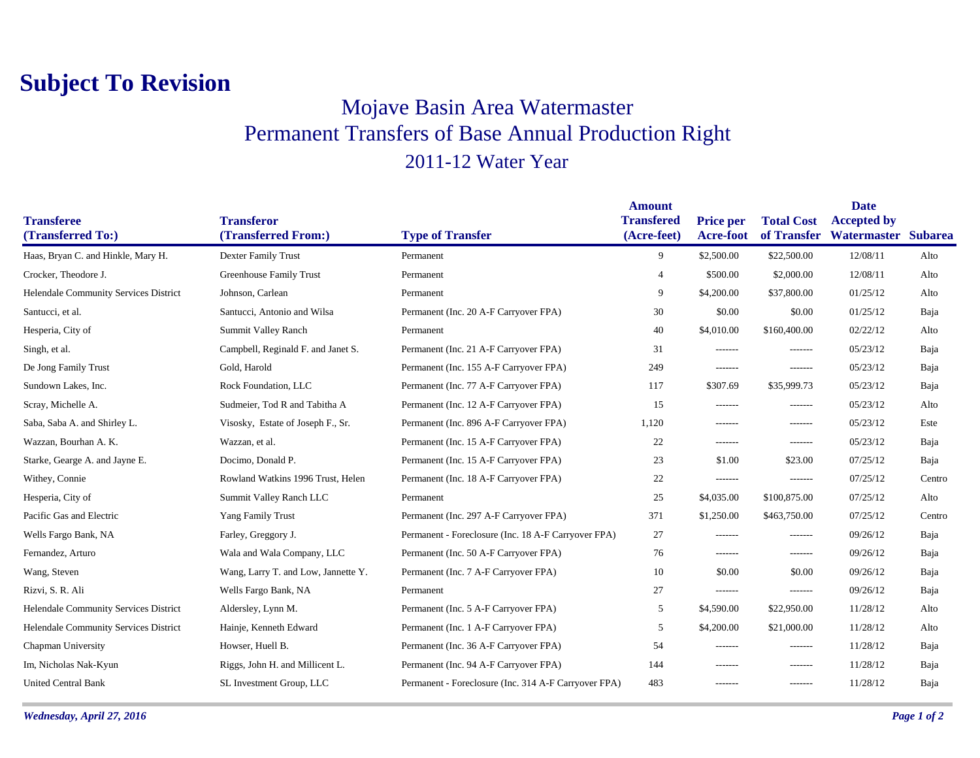## **Subject To Revision**

## Mojave Basin Area Watermaster Permanent Transfers of Base Annual Production Right 2011-12 Water Year

|                                       |                                     |                                                      | <b>Amount</b>     |                  |                   | <b>Date</b>         |        |
|---------------------------------------|-------------------------------------|------------------------------------------------------|-------------------|------------------|-------------------|---------------------|--------|
| <b>Transferee</b>                     | <b>Transferor</b>                   |                                                      | <b>Transfered</b> | <b>Price per</b> | <b>Total Cost</b> | <b>Accepted by</b>  |        |
| (Transferred To:)                     | (Transferred From:)                 | <b>Type of Transfer</b>                              | (Acre-feet)       | <b>Acre-foot</b> | of Transfer       | Watermaster Subarea |        |
| Haas, Bryan C. and Hinkle, Mary H.    | Dexter Family Trust                 | Permanent                                            | 9                 | \$2,500.00       | \$22,500.00       | 12/08/11            | Alto   |
| Crocker, Theodore J.                  | <b>Greenhouse Family Trust</b>      | Permanent                                            | $\overline{4}$    | \$500.00         | \$2,000.00        | 12/08/11            | Alto   |
| Helendale Community Services District | Johnson, Carlean                    | Permanent                                            | 9                 | \$4,200.00       | \$37,800.00       | 01/25/12            | Alto   |
| Santucci, et al.                      | Santucci, Antonio and Wilsa         | Permanent (Inc. 20 A-F Carryover FPA)                | 30                | \$0.00           | \$0.00            | 01/25/12            | Baja   |
| Hesperia, City of                     | Summit Valley Ranch                 | Permanent                                            | 40                | \$4,010.00       | \$160,400.00      | 02/22/12            | Alto   |
| Singh, et al.                         | Campbell, Reginald F. and Janet S.  | Permanent (Inc. 21 A-F Carryover FPA)                | 31                | -------          | $- - - - - - -$   | 05/23/12            | Baja   |
| De Jong Family Trust                  | Gold, Harold                        | Permanent (Inc. 155 A-F Carryover FPA)               | 249               | -------          | -------           | 05/23/12            | Baja   |
| Sundown Lakes, Inc.                   | Rock Foundation, LLC                | Permanent (Inc. 77 A-F Carryover FPA)                | 117               | \$307.69         | \$35,999.73       | 05/23/12            | Baja   |
| Scray, Michelle A.                    | Sudmeier, Tod R and Tabitha A       | Permanent (Inc. 12 A-F Carryover FPA)                | 15                | $- - - - - - -$  | -------           | 05/23/12            | Alto   |
| Saba, Saba A. and Shirley L.          | Visosky, Estate of Joseph F., Sr.   | Permanent (Inc. 896 A-F Carryover FPA)               | 1,120             | -------          | -------           | 05/23/12            | Este   |
| Wazzan, Bourhan A. K.                 | Wazzan, et al.                      | Permanent (Inc. 15 A-F Carryover FPA)                | 22                | -------          | -------           | 05/23/12            | Baja   |
| Starke, Gearge A. and Jayne E.        | Docimo, Donald P.                   | Permanent (Inc. 15 A-F Carryover FPA)                | 23                | \$1.00           | \$23.00           | 07/25/12            | Baja   |
| Withey, Connie                        | Rowland Watkins 1996 Trust, Helen   | Permanent (Inc. 18 A-F Carryover FPA)                | 22                | -------          | -------           | 07/25/12            | Centro |
| Hesperia, City of                     | Summit Valley Ranch LLC             | Permanent                                            | 25                | \$4,035.00       | \$100,875.00      | 07/25/12            | Alto   |
| Pacific Gas and Electric              | <b>Yang Family Trust</b>            | Permanent (Inc. 297 A-F Carryover FPA)               | 371               | \$1,250.00       | \$463,750.00      | 07/25/12            | Centro |
| Wells Fargo Bank, NA                  | Farley, Greggory J.                 | Permanent - Foreclosure (Inc. 18 A-F Carryover FPA)  | 27                | $- - - - - - -$  | -------           | 09/26/12            | Baja   |
| Fernandez, Arturo                     | Wala and Wala Company, LLC          | Permanent (Inc. 50 A-F Carryover FPA)                | 76                | -------          | -------           | 09/26/12            | Baja   |
| Wang, Steven                          | Wang, Larry T. and Low, Jannette Y. | Permanent (Inc. 7 A-F Carryover FPA)                 | 10                | \$0.00           | \$0.00            | 09/26/12            | Baja   |
| Rizvi, S. R. Ali                      | Wells Fargo Bank, NA                | Permanent                                            | 27                | -------          | -------           | 09/26/12            | Baja   |
| Helendale Community Services District | Aldersley, Lynn M.                  | Permanent (Inc. 5 A-F Carryover FPA)                 | 5                 | \$4,590.00       | \$22,950.00       | 11/28/12            | Alto   |
| Helendale Community Services District | Hainje, Kenneth Edward              | Permanent (Inc. 1 A-F Carryover FPA)                 | 5                 | \$4,200.00       | \$21,000.00       | 11/28/12            | Alto   |
| Chapman University                    | Howser, Huell B.                    | Permanent (Inc. 36 A-F Carryover FPA)                | 54                | -------          | -------           | 11/28/12            | Baja   |
| Im, Nicholas Nak-Kyun                 | Riggs, John H. and Millicent L.     | Permanent (Inc. 94 A-F Carryover FPA)                | 144               | -------          | $- - - - - - -$   | 11/28/12            | Baja   |
| <b>United Central Bank</b>            | SL Investment Group, LLC            | Permanent - Foreclosure (Inc. 314 A-F Carryover FPA) | 483               | -------          | -------           | 11/28/12            | Baja   |